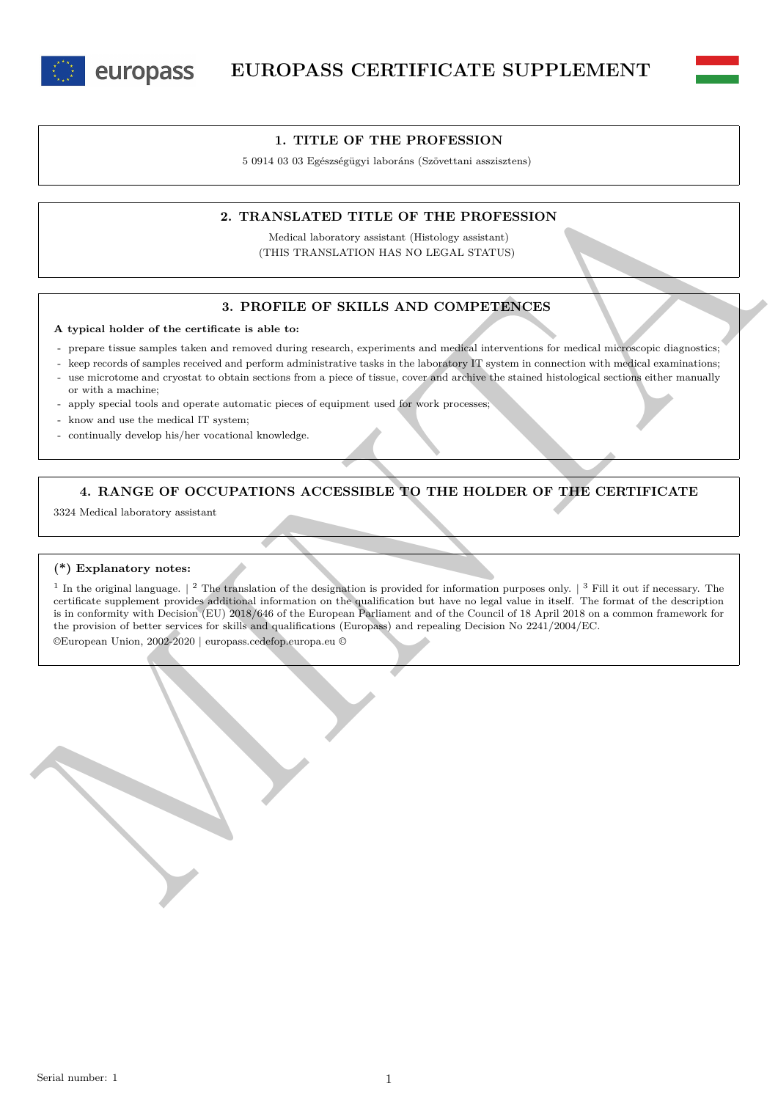



5 0914 03 03 Egészségügyi laboráns (Szövettani asszisztens)

### **2. TRANSLATED TITLE OF THE PROFESSION**

Medical laboratory assistant (Histology assistant) (THIS TRANSLATION HAS NO LEGAL STATUS)

## **3. PROFILE OF SKILLS AND COMPETENCES**

#### **A typical holder of the certificate is able to:**

- prepare tissue samples taken and removed during research, experiments and medical interventions for medical microscopic diagnostics;
- keep records of samples received and perform administrative tasks in the laboratory IT system in connection with medical examinations; use microtome and cryostat to obtain sections from a piece of tissue, cover and archive the stained histological sections either manually or with a machine;
- apply special tools and operate automatic pieces of equipment used for work processes;
- know and use the medical IT system;
- continually develop his/her vocational knowledge.

# **4. RANGE OF OCCUPATIONS ACCESSIBLE TO THE HOLDER OF THE CERTIFICATE**

3324 Medical laboratory assistant

#### **(\*) Explanatory notes:**

2. TRANSLATED TITLE OF THE PROFESSION<br>
(We have a better that the contract the contract of the state of the state of the state of the state of the state of the state of the state of the state of the state of the state of <sup>1</sup> In the original language.  $\vert$  <sup>2</sup> The translation of the designation is provided for information purposes only.  $\vert$  <sup>3</sup> Fill it out if necessary. The certificate supplement provides additional information on the qualification but have no legal value in itself. The format of the description is in conformity with Decision (EU) 2018/646 of the European Parliament and of the Council of 18 April 2018 on a common framework for the provision of better services for skills and qualifications (Europass) and repealing Decision No 2241/2004/EC.

©European Union, 2002-2020 | europass.cedefop.europa.eu ©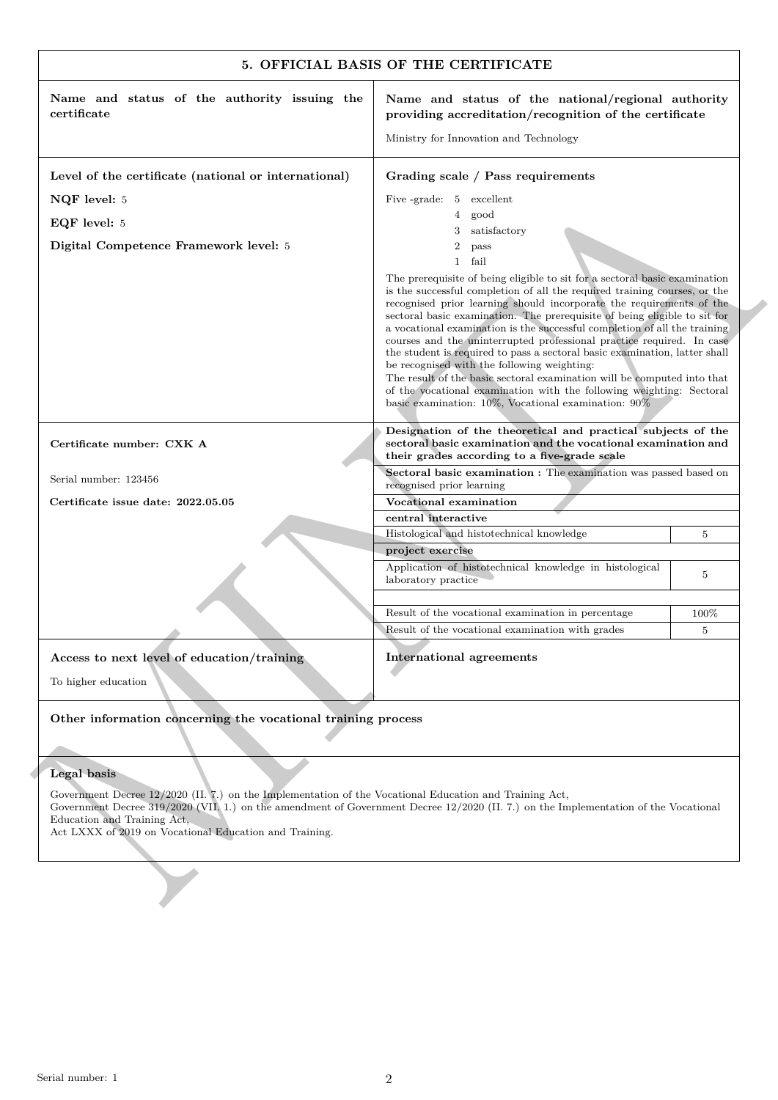| Name and status of the authority issuing the                                                                                                                                                                                                                                                                                                          | Name and status of the national/regional authority                                                                                                                                                                                                                                                                                                                                                                                                                                                                                                                                                                                                                                                                                                                                                               |                |
|-------------------------------------------------------------------------------------------------------------------------------------------------------------------------------------------------------------------------------------------------------------------------------------------------------------------------------------------------------|------------------------------------------------------------------------------------------------------------------------------------------------------------------------------------------------------------------------------------------------------------------------------------------------------------------------------------------------------------------------------------------------------------------------------------------------------------------------------------------------------------------------------------------------------------------------------------------------------------------------------------------------------------------------------------------------------------------------------------------------------------------------------------------------------------------|----------------|
| certificate                                                                                                                                                                                                                                                                                                                                           | providing accreditation/recognition of the certificate                                                                                                                                                                                                                                                                                                                                                                                                                                                                                                                                                                                                                                                                                                                                                           |                |
|                                                                                                                                                                                                                                                                                                                                                       | Ministry for Innovation and Technology                                                                                                                                                                                                                                                                                                                                                                                                                                                                                                                                                                                                                                                                                                                                                                           |                |
| Level of the certificate (national or international)                                                                                                                                                                                                                                                                                                  | Grading scale / Pass requirements                                                                                                                                                                                                                                                                                                                                                                                                                                                                                                                                                                                                                                                                                                                                                                                |                |
| NQF level: 5                                                                                                                                                                                                                                                                                                                                          | Five -grade: 5 excellent                                                                                                                                                                                                                                                                                                                                                                                                                                                                                                                                                                                                                                                                                                                                                                                         |                |
| EQF level: 5                                                                                                                                                                                                                                                                                                                                          | good<br>4                                                                                                                                                                                                                                                                                                                                                                                                                                                                                                                                                                                                                                                                                                                                                                                                        |                |
| Digital Competence Framework level: 5                                                                                                                                                                                                                                                                                                                 | satisfactory<br>3<br>2<br>pass                                                                                                                                                                                                                                                                                                                                                                                                                                                                                                                                                                                                                                                                                                                                                                                   |                |
|                                                                                                                                                                                                                                                                                                                                                       | fail<br>$\mathbf{1}$                                                                                                                                                                                                                                                                                                                                                                                                                                                                                                                                                                                                                                                                                                                                                                                             |                |
|                                                                                                                                                                                                                                                                                                                                                       | The prerequisite of being eligible to sit for a sectoral basic examination<br>is the successful completion of all the required training courses, or the<br>recognised prior learning should incorporate the requirements of the<br>sectoral basic examination. The prerequisite of being eligible to sit for<br>a vocational examination is the successful completion of all the training<br>courses and the uninterrupted professional practice required. In case<br>the student is required to pass a sectoral basic examination, latter shall<br>be recognised with the following weighting:<br>The result of the basic sectoral examination will be computed into that<br>of the vocational examination with the following weighting: Sectoral<br>basic examination: $10\%$ , Vocational examination: $90\%$ |                |
| Certificate number: CXK A                                                                                                                                                                                                                                                                                                                             | Designation of the theoretical and practical subjects of the<br>sectoral basic examination and the vocational examination and<br>their grades according to a five-grade scale                                                                                                                                                                                                                                                                                                                                                                                                                                                                                                                                                                                                                                    |                |
| Serial number: 123456                                                                                                                                                                                                                                                                                                                                 | Sectoral basic examination : The examination was passed based on<br>recognised prior learning                                                                                                                                                                                                                                                                                                                                                                                                                                                                                                                                                                                                                                                                                                                    |                |
| Certificate issue date: 2022.05.05                                                                                                                                                                                                                                                                                                                    | Vocational examination                                                                                                                                                                                                                                                                                                                                                                                                                                                                                                                                                                                                                                                                                                                                                                                           |                |
|                                                                                                                                                                                                                                                                                                                                                       | central interactive                                                                                                                                                                                                                                                                                                                                                                                                                                                                                                                                                                                                                                                                                                                                                                                              |                |
|                                                                                                                                                                                                                                                                                                                                                       | Histological and histotechnical knowledge<br>project exercise                                                                                                                                                                                                                                                                                                                                                                                                                                                                                                                                                                                                                                                                                                                                                    | 5              |
|                                                                                                                                                                                                                                                                                                                                                       | Application of histotechnical knowledge in histological<br>laboratory practice                                                                                                                                                                                                                                                                                                                                                                                                                                                                                                                                                                                                                                                                                                                                   | 5              |
|                                                                                                                                                                                                                                                                                                                                                       | Result of the vocational examination in percentage                                                                                                                                                                                                                                                                                                                                                                                                                                                                                                                                                                                                                                                                                                                                                               | 100%           |
|                                                                                                                                                                                                                                                                                                                                                       | Result of the vocational examination with grades                                                                                                                                                                                                                                                                                                                                                                                                                                                                                                                                                                                                                                                                                                                                                                 | $\overline{5}$ |
| Access to next level of education/training<br>To higher education                                                                                                                                                                                                                                                                                     | <b>International agreements</b>                                                                                                                                                                                                                                                                                                                                                                                                                                                                                                                                                                                                                                                                                                                                                                                  |                |
| Other information concerning the vocational training process                                                                                                                                                                                                                                                                                          |                                                                                                                                                                                                                                                                                                                                                                                                                                                                                                                                                                                                                                                                                                                                                                                                                  |                |
|                                                                                                                                                                                                                                                                                                                                                       |                                                                                                                                                                                                                                                                                                                                                                                                                                                                                                                                                                                                                                                                                                                                                                                                                  |                |
| Legal basis<br>Government Decree 12/2020 (II. 7.) on the Implementation of the Vocational Education and Training Act,<br>Government Decree 319/2020 (VII, 1.) on the amendment of Government Decree 12/2020 (II. 7.) on the Implementation of the Vocational<br>Education and Training Act,<br>Act LXXX of 2019 on Vocational Education and Training. |                                                                                                                                                                                                                                                                                                                                                                                                                                                                                                                                                                                                                                                                                                                                                                                                                  |                |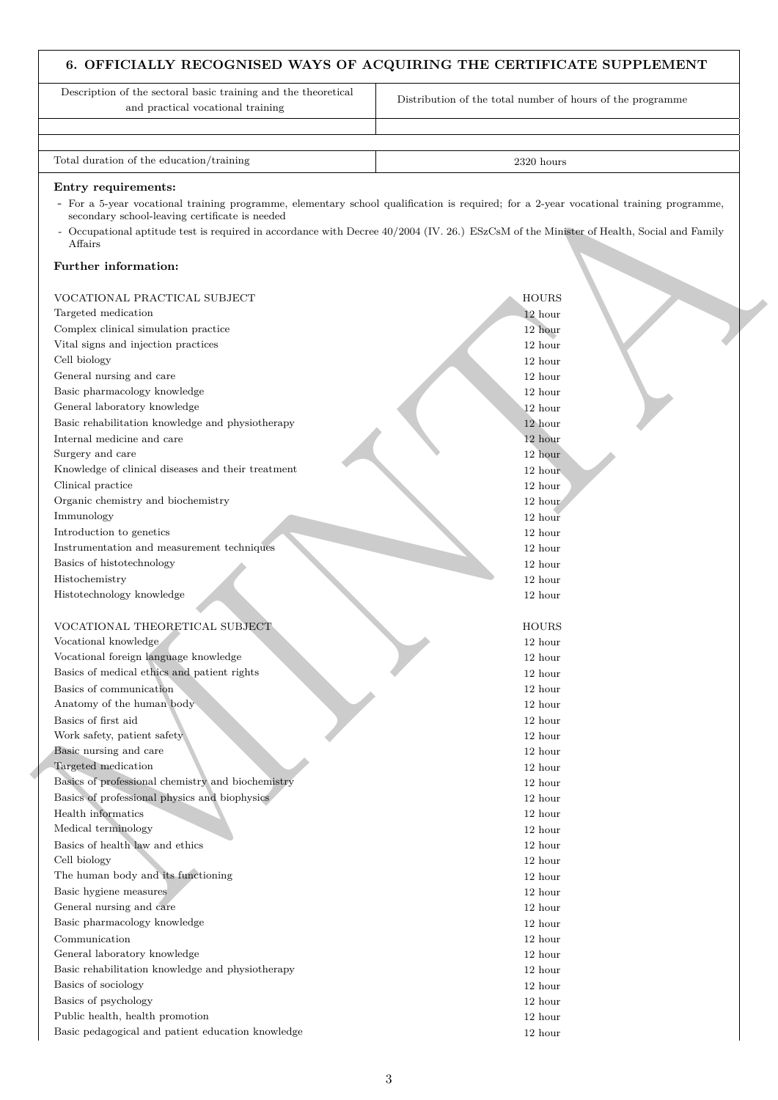# **6. OFFICIALLY RECOGNISED WAYS OF ACQUIRING THE CERTIFICATE SUPPLEMENT**

Description of the sectoral basic training and the theoretical and practical vocational training Distribution of the total number of hours of the programme Total duration of the education/training 2320 hours 2320 hours

#### **Entry requirements:**

- For a 5-year vocational training programme, elementary school qualification is required; for a 2-year vocational training programme, secondary school-leaving certificate is needed
- Occupational aptitude test is required in accordance with Decree 40/2004 (IV. 26.) ESzCsM of the Minister of Health, Social and Family Affairs

### **Further information:**

| Entry requirements:<br>- For a 5-year vocational training programme, elementary school qualification is required; for a 2-year vocational training programme, |                     |  |
|---------------------------------------------------------------------------------------------------------------------------------------------------------------|---------------------|--|
| secondary school-leaving certificate is needed                                                                                                                |                     |  |
| - Occupational aptitude test is required in accordance with Decree 40/2004 (IV. 26.) ESzCsM of the Minister of Health, Social and Family<br>Affairs           |                     |  |
| Further information:                                                                                                                                          |                     |  |
| VOCATIONAL PRACTICAL SUBJECT                                                                                                                                  | <b>HOURS</b>        |  |
| Targeted medication                                                                                                                                           | 12 hour             |  |
| Complex clinical simulation practice                                                                                                                          | 12 hour             |  |
| Vital signs and injection practices                                                                                                                           | 12 hour             |  |
| Cell biology                                                                                                                                                  | 12 hour             |  |
| General nursing and care                                                                                                                                      | 12 hour             |  |
| Basic pharmacology knowledge                                                                                                                                  | 12 hour             |  |
| General laboratory knowledge                                                                                                                                  | 12 hour             |  |
| Basic rehabilitation knowledge and physiotherapy                                                                                                              | 12 hour             |  |
| Internal medicine and care                                                                                                                                    | 12 hour             |  |
| Surgery and care                                                                                                                                              | 12 hour             |  |
| Knowledge of clinical diseases and their treatment                                                                                                            | 12 hour             |  |
| Clinical practice                                                                                                                                             | 12 hour             |  |
| Organic chemistry and biochemistry                                                                                                                            | 12 hour             |  |
| Immunology                                                                                                                                                    | 12 hour             |  |
| Introduction to genetics                                                                                                                                      | 12 hour             |  |
| Instrumentation and measurement techniques                                                                                                                    | 12 hour             |  |
| Basics of histotechnology                                                                                                                                     | 12 hour             |  |
| Histochemistry                                                                                                                                                | 12 hour             |  |
| Histotechnology knowledge                                                                                                                                     | 12 hour             |  |
| VOCATIONAL THEORETICAL SUBJECT                                                                                                                                | <b>HOURS</b>        |  |
| Vocational knowledge                                                                                                                                          | 12 hour             |  |
| Vocational foreign language knowledge                                                                                                                         | 12 hour             |  |
| Basics of medical ethics and patient rights                                                                                                                   | 12 hour             |  |
| Basics of communication                                                                                                                                       | 12 hour             |  |
| Anatomy of the human body                                                                                                                                     | 12 hour             |  |
| Basics of first aid                                                                                                                                           | 12 hour             |  |
| Work safety, patient safety                                                                                                                                   | 12 hour             |  |
| Basic nursing and care                                                                                                                                        | $12\ \mathrm{hour}$ |  |
| Targeted medication                                                                                                                                           | 12 hour             |  |
| Basics of professional chemistry and biochemistry                                                                                                             | 12 hour             |  |
| Basics of professional physics and biophysics                                                                                                                 | 12 hour             |  |
| Health informatics                                                                                                                                            | 12 hour             |  |
| Medical terminology                                                                                                                                           | 12 hour             |  |
| Basics of health law and ethics                                                                                                                               | 12 hour             |  |
| Cell biology                                                                                                                                                  | 12 hour             |  |
| The human body and its functioning                                                                                                                            | 12 hour             |  |
| Basic hygiene measures                                                                                                                                        | 12 hour             |  |
| General nursing and care<br>Basic pharmacology knowledge                                                                                                      | 12 hour             |  |
|                                                                                                                                                               | 12 hour             |  |
| Communication<br>General laboratory knowledge                                                                                                                 | 12 hour             |  |
|                                                                                                                                                               | 12 hour             |  |
|                                                                                                                                                               | 12 hour             |  |
| Basic rehabilitation knowledge and physiotherapy                                                                                                              |                     |  |
| Basics of sociology                                                                                                                                           | 12 hour             |  |
| Basics of psychology<br>Public health, health promotion                                                                                                       | 12 hour<br>12 hour  |  |